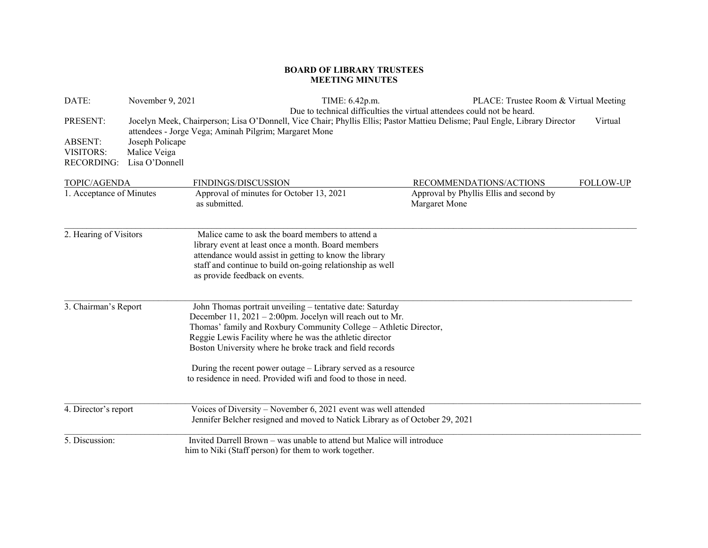## **BOARD OF LIBRARY TRUSTEES MEETING MINUTES**

| DATE:                                                        | November 9, 2021                                  | TIME: 6.42p.m.                                                                                                                                                                                                                                                                                                         |                                                                         | PLACE: Trustee Room & Virtual Meeting   |                  |
|--------------------------------------------------------------|---------------------------------------------------|------------------------------------------------------------------------------------------------------------------------------------------------------------------------------------------------------------------------------------------------------------------------------------------------------------------------|-------------------------------------------------------------------------|-----------------------------------------|------------------|
| PRESENT:<br><b>ABSENT:</b><br>VISITORS:<br><b>RECORDING:</b> | Joseph Policape<br>Malice Veiga<br>Lisa O'Donnell | Jocelyn Meek, Chairperson; Lisa O'Donnell, Vice Chair; Phyllis Ellis; Pastor Mattieu Delisme; Paul Engle, Library Director<br>attendees - Jorge Vega; Aminah Pilgrim; Margaret Mone                                                                                                                                    | Due to technical difficulties the virtual attendees could not be heard. |                                         | Virtual          |
| TOPIC/AGENDA                                                 |                                                   | FINDINGS/DISCUSSION                                                                                                                                                                                                                                                                                                    |                                                                         | RECOMMENDATIONS/ACTIONS                 | <b>FOLLOW-UP</b> |
| 1. Acceptance of Minutes                                     |                                                   | Approval of minutes for October 13, 2021<br>as submitted.                                                                                                                                                                                                                                                              | Margaret Mone                                                           | Approval by Phyllis Ellis and second by |                  |
| 2. Hearing of Visitors                                       |                                                   | Malice came to ask the board members to attend a<br>library event at least once a month. Board members<br>attendance would assist in getting to know the library<br>staff and continue to build on-going relationship as well<br>as provide feedback on events.                                                        |                                                                         |                                         |                  |
| 3. Chairman's Report                                         |                                                   | John Thomas portrait unveiling - tentative date: Saturday<br>December $11, 2021 - 2:00$ pm. Jocelyn will reach out to Mr.<br>Thomas' family and Roxbury Community College - Athletic Director,<br>Reggie Lewis Facility where he was the athletic director<br>Boston University where he broke track and field records |                                                                         |                                         |                  |
|                                                              |                                                   | During the recent power outage – Library served as a resource<br>to residence in need. Provided wifi and food to those in need.                                                                                                                                                                                        |                                                                         |                                         |                  |
| 4. Director's report                                         |                                                   | Voices of Diversity - November 6, 2021 event was well attended<br>Jennifer Belcher resigned and moved to Natick Library as of October 29, 2021                                                                                                                                                                         |                                                                         |                                         |                  |
| 5. Discussion:                                               |                                                   | Invited Darrell Brown – was unable to attend but Malice will introduce<br>him to Niki (Staff person) for them to work together.                                                                                                                                                                                        |                                                                         |                                         |                  |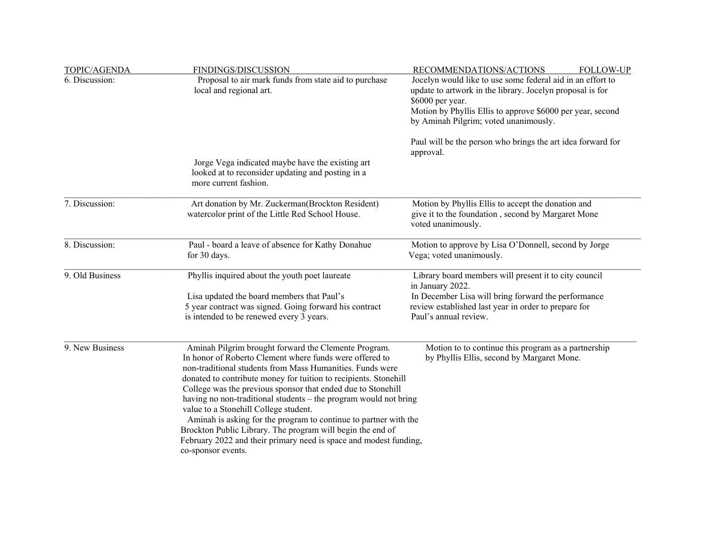| TOPIC/AGENDA    | FINDINGS/DISCUSSION                                                                                                                                                                                                                                                                                                                                                                                                                                                                                                                                                                                                                                        | RECOMMENDATIONS/ACTIONS<br><b>FOLLOW-UP</b>                                                                                                                                                                                                        |  |  |
|-----------------|------------------------------------------------------------------------------------------------------------------------------------------------------------------------------------------------------------------------------------------------------------------------------------------------------------------------------------------------------------------------------------------------------------------------------------------------------------------------------------------------------------------------------------------------------------------------------------------------------------------------------------------------------------|----------------------------------------------------------------------------------------------------------------------------------------------------------------------------------------------------------------------------------------------------|--|--|
| 6. Discussion:  | Proposal to air mark funds from state aid to purchase<br>local and regional art.                                                                                                                                                                                                                                                                                                                                                                                                                                                                                                                                                                           | Jocelyn would like to use some federal aid in an effort to<br>update to artwork in the library. Jocelyn proposal is for<br>\$6000 per year.<br>Motion by Phyllis Ellis to approve \$6000 per year, second<br>by Aminah Pilgrim; voted unanimously. |  |  |
|                 |                                                                                                                                                                                                                                                                                                                                                                                                                                                                                                                                                                                                                                                            | Paul will be the person who brings the art idea forward for<br>approval.                                                                                                                                                                           |  |  |
|                 | Jorge Vega indicated maybe have the existing art<br>looked at to reconsider updating and posting in a<br>more current fashion.                                                                                                                                                                                                                                                                                                                                                                                                                                                                                                                             |                                                                                                                                                                                                                                                    |  |  |
| 7. Discussion:  | Art donation by Mr. Zuckerman(Brockton Resident)<br>watercolor print of the Little Red School House.                                                                                                                                                                                                                                                                                                                                                                                                                                                                                                                                                       | Motion by Phyllis Ellis to accept the donation and<br>give it to the foundation, second by Margaret Mone<br>voted unanimously.                                                                                                                     |  |  |
| 8. Discussion:  | Paul - board a leave of absence for Kathy Donahue<br>for 30 days.                                                                                                                                                                                                                                                                                                                                                                                                                                                                                                                                                                                          | Motion to approve by Lisa O'Donnell, second by Jorge<br>Vega; voted unanimously.                                                                                                                                                                   |  |  |
| 9. Old Business | Phyllis inquired about the youth poet laureate                                                                                                                                                                                                                                                                                                                                                                                                                                                                                                                                                                                                             | Library board members will present it to city council<br>in January 2022.                                                                                                                                                                          |  |  |
|                 | Lisa updated the board members that Paul's<br>5 year contract was signed. Going forward his contract<br>is intended to be renewed every 3 years.                                                                                                                                                                                                                                                                                                                                                                                                                                                                                                           | In December Lisa will bring forward the performance<br>review established last year in order to prepare for<br>Paul's annual review.                                                                                                               |  |  |
| 9. New Business | Aminah Pilgrim brought forward the Clemente Program.<br>In honor of Roberto Clement where funds were offered to<br>non-traditional students from Mass Humanities. Funds were<br>donated to contribute money for tuition to recipients. Stonehill<br>College was the previous sponsor that ended due to Stonehill<br>having no non-traditional students – the program would not bring<br>value to a Stonehill College student.<br>Aminah is asking for the program to continue to partner with the<br>Brockton Public Library. The program will begin the end of<br>February 2022 and their primary need is space and modest funding,<br>co-sponsor events. | Motion to to continue this program as a partnership<br>by Phyllis Ellis, second by Margaret Mone.                                                                                                                                                  |  |  |